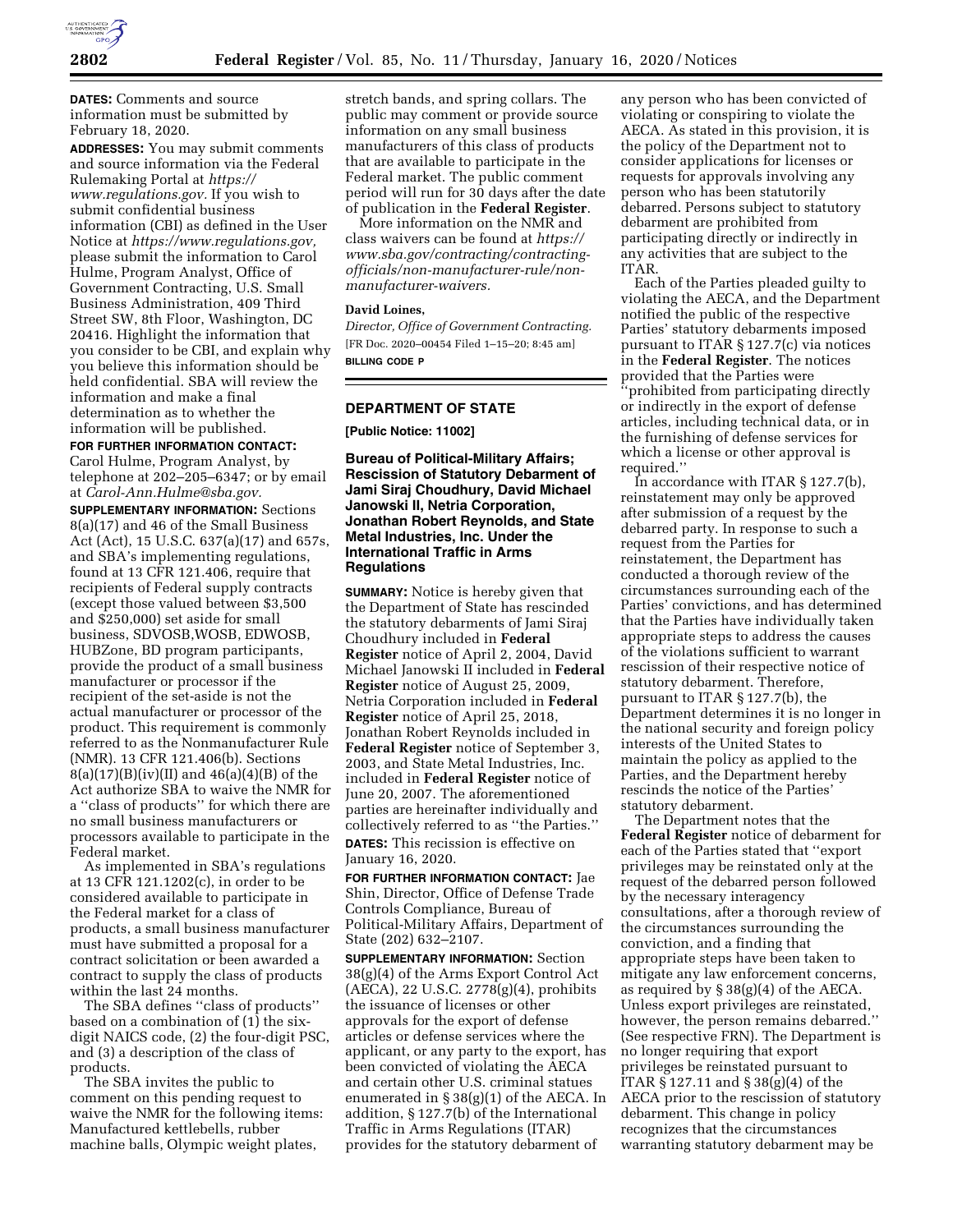

**DATES:** Comments and source information must be submitted by February 18, 2020.

**ADDRESSES:** You may submit comments and source information via the Federal Rulemaking Portal at *[https://](https://www.regulations.gov) [www.regulations.gov.](https://www.regulations.gov)* If you wish to submit confidential business information (CBI) as defined in the User Notice at *[https://www.regulations.gov,](https://www.regulations.gov)*  please submit the information to Carol Hulme, Program Analyst, Office of Government Contracting, U.S. Small Business Administration, 409 Third Street SW, 8th Floor, Washington, DC 20416. Highlight the information that you consider to be CBI, and explain why you believe this information should be held confidential. SBA will review the information and make a final determination as to whether the information will be published.

# **FOR FURTHER INFORMATION CONTACT:**

Carol Hulme, Program Analyst, by telephone at 202–205–6347; or by email at *[Carol-Ann.Hulme@sba.gov.](mailto:Carol-Ann.Hulme@sba.gov)* 

**SUPPLEMENTARY INFORMATION:** Sections 8(a)(17) and 46 of the Small Business Act (Act), 15 U.S.C. 637(a)(17) and 657s, and SBA's implementing regulations, found at 13 CFR 121.406, require that recipients of Federal supply contracts (except those valued between \$3,500 and \$250,000) set aside for small business, SDVOSB,WOSB, EDWOSB, HUBZone, BD program participants, provide the product of a small business manufacturer or processor if the recipient of the set-aside is not the actual manufacturer or processor of the product. This requirement is commonly referred to as the Nonmanufacturer Rule (NMR). 13 CFR 121.406(b). Sections  $8(a)(17)(B)(iv)(II)$  and  $46(a)(4)(B)$  of the Act authorize SBA to waive the NMR for a ''class of products'' for which there are no small business manufacturers or processors available to participate in the Federal market.

As implemented in SBA's regulations at 13 CFR 121.1202(c), in order to be considered available to participate in the Federal market for a class of products, a small business manufacturer must have submitted a proposal for a contract solicitation or been awarded a contract to supply the class of products within the last 24 months.

The SBA defines ''class of products'' based on a combination of (1) the sixdigit NAICS code, (2) the four-digit PSC, and (3) a description of the class of products.

The SBA invites the public to comment on this pending request to waive the NMR for the following items: Manufactured kettlebells, rubber machine balls, Olympic weight plates,

stretch bands, and spring collars. The public may comment or provide source information on any small business manufacturers of this class of products that are available to participate in the Federal market. The public comment period will run for 30 days after the date of publication in the **Federal Register**.

More information on the NMR and class waivers can be found at *[https://](https://www.blm.gov/programs/planning-and-nepa/public-participation/protest-resolution-reports) [www.sba.gov/contracting/contracting](https://www.blm.gov/programs/planning-and-nepa/public-participation/protest-resolution-reports)officials/non-manufacturer-rule/non[manufacturer-waivers.](https://www.sba.gov/contracting/contracting-officials/non-manufacturer-rule/non-manufacturer-waivers)* 

#### **David Loines,**

*Director, Office of Government Contracting.*  [FR Doc. 2020–00454 Filed 1–15–20; 8:45 am] **BILLING CODE P** 

#### **DEPARTMENT OF STATE**

**[Public Notice: 11002]** 

# **Bureau of Political-Military Affairs; Rescission of Statutory Debarment of Jami Siraj Choudhury, David Michael Janowski II, Netria Corporation, Jonathan Robert Reynolds, and State Metal Industries, Inc. Under the International Traffic in Arms Regulations**

**SUMMARY:** Notice is hereby given that the Department of State has rescinded the statutory debarments of Jami Siraj Choudhury included in **Federal Register** notice of April 2, 2004, David Michael Janowski II included in **Federal Register** notice of August 25, 2009, Netria Corporation included in **Federal Register** notice of April 25, 2018, Jonathan Robert Reynolds included in **Federal Register** notice of September 3, 2003, and State Metal Industries, Inc. included in **Federal Register** notice of June 20, 2007. The aforementioned parties are hereinafter individually and collectively referred to as ''the Parties.'' **DATES:** This recission is effective on January 16, 2020.

**FOR FURTHER INFORMATION CONTACT:** Jae Shin, Director, Office of Defense Trade Controls Compliance, Bureau of Political-Military Affairs, Department of State (202) 632–2107.

**SUPPLEMENTARY INFORMATION:** Section 38(g)(4) of the Arms Export Control Act (AECA), 22 U.S.C. 2778(g)(4), prohibits the issuance of licenses or other approvals for the export of defense articles or defense services where the applicant, or any party to the export, has been convicted of violating the AECA and certain other U.S. criminal statues enumerated in § 38(g)(1) of the AECA. In addition, § 127.7(b) of the International Traffic in Arms Regulations (ITAR) provides for the statutory debarment of

any person who has been convicted of violating or conspiring to violate the AECA. As stated in this provision, it is the policy of the Department not to consider applications for licenses or requests for approvals involving any person who has been statutorily debarred. Persons subject to statutory debarment are prohibited from participating directly or indirectly in any activities that are subject to the ITAR.

Each of the Parties pleaded guilty to violating the AECA, and the Department notified the public of the respective Parties' statutory debarments imposed pursuant to ITAR § 127.7(c) via notices in the **Federal Register**. The notices provided that the Parties were 'prohibited from participating directly or indirectly in the export of defense articles, including technical data, or in the furnishing of defense services for which a license or other approval is required.''

In accordance with ITAR § 127.7(b), reinstatement may only be approved after submission of a request by the debarred party. In response to such a request from the Parties for reinstatement, the Department has conducted a thorough review of the circumstances surrounding each of the Parties' convictions, and has determined that the Parties have individually taken appropriate steps to address the causes of the violations sufficient to warrant rescission of their respective notice of statutory debarment. Therefore, pursuant to ITAR § 127.7(b), the Department determines it is no longer in the national security and foreign policy interests of the United States to maintain the policy as applied to the Parties, and the Department hereby rescinds the notice of the Parties' statutory debarment.

The Department notes that the **Federal Register** notice of debarment for each of the Parties stated that ''export privileges may be reinstated only at the request of the debarred person followed by the necessary interagency consultations, after a thorough review of the circumstances surrounding the conviction, and a finding that appropriate steps have been taken to mitigate any law enforcement concerns, as required by § 38(g)(4) of the AECA. Unless export privileges are reinstated, however, the person remains debarred.'' (See respective FRN). The Department is no longer requiring that export privileges be reinstated pursuant to ITAR § 127.11 and § 38(g)(4) of the AECA prior to the rescission of statutory debarment. This change in policy recognizes that the circumstances warranting statutory debarment may be